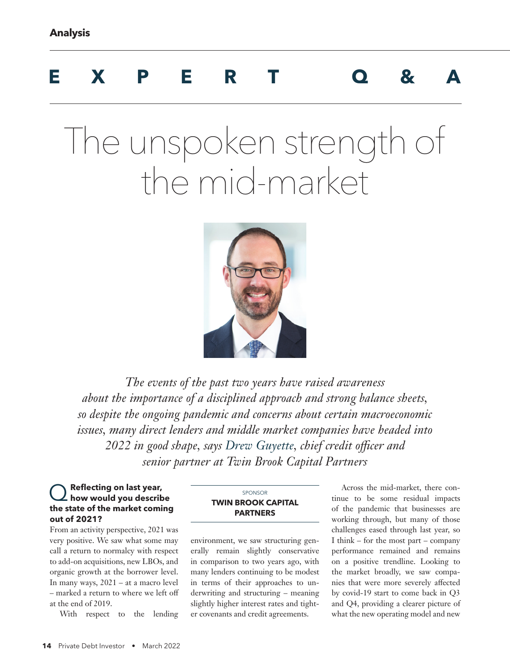## **EXPERT Q&A**

# The unspoken strength of the mid-market



*The events of the past two years have raised awareness about the importance of a disciplined approach and strong balance sheets, so despite the ongoing pandemic and concerns about certain macroeconomic issues, many direct lenders and middle market companies have headed into 2022 in good shape, says Drew Guyette, chief credit officer and senior partner at Twin Brook Capital Partners* 

## Q**Reflecting on last year, how would you describe the state of the market coming out of 2021?**

From an activity perspective, 2021 was very positive. We saw what some may call a return to normalcy with respect to add-on acquisitions, new LBOs, and organic growth at the borrower level. In many ways, 2021 – at a macro level – marked a return to where we left off at the end of 2019.

With respect to the lending

#### SPONSOR **TWIN BROOK CAPITAL PARTNERS**

environment, we saw structuring generally remain slightly conservative in comparison to two years ago, with many lenders continuing to be modest in terms of their approaches to underwriting and structuring – meaning slightly higher interest rates and tighter covenants and credit agreements.

Across the mid-market, there continue to be some residual impacts of the pandemic that businesses are working through, but many of those challenges eased through last year, so I think – for the most part – company performance remained and remains on a positive trendline. Looking to the market broadly, we saw companies that were more severely affected by covid-19 start to come back in Q3 and Q4, providing a clearer picture of what the new operating model and new